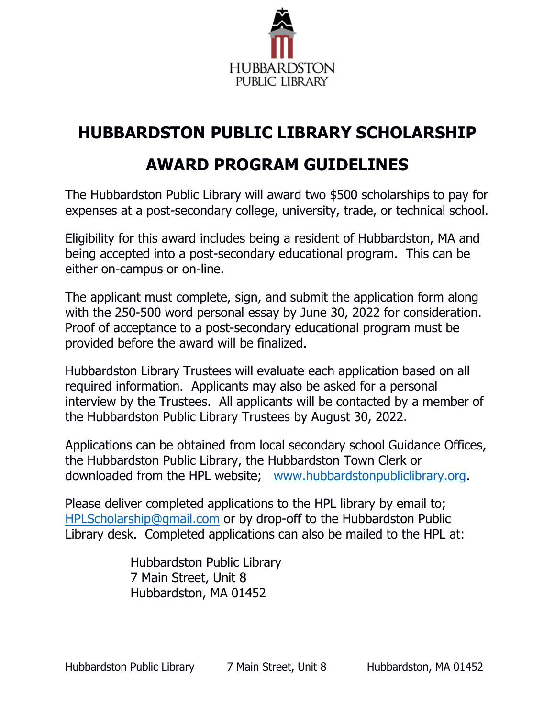

# **HUBBARDSTON PUBLIC LIBRARY SCHOLARSHIP**

## **AWARD PROGRAM GUIDELINES**

The Hubbardston Public Library will award two \$500 scholarships to pay for expenses at a post-secondary college, university, trade, or technical school.

Eligibility for this award includes being a resident of Hubbardston, MA and being accepted into a post-secondary educational program. This can be either on-campus or on-line.

The applicant must complete, sign, and submit the application form along with the 250-500 word personal essay by June 30, 2022 for consideration. Proof of acceptance to a post-secondary educational program must be provided before the award will be finalized.

Hubbardston Library Trustees will evaluate each application based on all required information. Applicants may also be asked for a personal interview by the Trustees. All applicants will be contacted by a member of the Hubbardston Public Library Trustees by August 30, 2022.

Applications can be obtained from local secondary school Guidance Offices, the Hubbardston Public Library, the Hubbardston Town Clerk or downloaded from the HPL website; [www.hubbardstonpubliclibrary.org.](http://www.hubbardstonpubliclibrary.org/)

Please deliver completed applications to the HPL library by email to; [HPLScholarship@gmail.com](mailto:HPLScholarship@gmail.com) or by drop-off to the Hubbardston Public Library desk. Completed applications can also be mailed to the HPL at:

> Hubbardston Public Library 7 Main Street, Unit 8 Hubbardston, MA 01452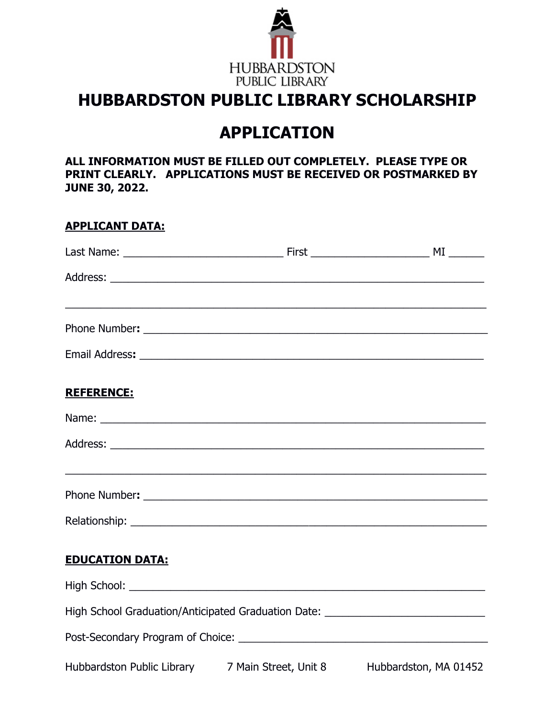

### **HUBBARDSTON PUBLIC LIBRARY SCHOLARSHIP**

## **APPLICATION**

**ALL INFORMATION MUST BE FILLED OUT COMPLETELY. PLEASE TYPE OR PRINT CLEARLY. APPLICATIONS MUST BE RECEIVED OR POSTMARKED BY JUNE 30, 2022.**

#### **APPLICANT DATA:**

|                                                                                  | ,我们也不能在这里的时候,我们也不能在这里的时候,我们也不能会在这里,我们也不能会在这里的时候,我们也不能会在这里的时候,我们也不能会在这里的时候,我们也不能会 |
|----------------------------------------------------------------------------------|----------------------------------------------------------------------------------|
|                                                                                  |                                                                                  |
|                                                                                  |                                                                                  |
| <b>REFERENCE:</b>                                                                |                                                                                  |
|                                                                                  |                                                                                  |
|                                                                                  |                                                                                  |
|                                                                                  |                                                                                  |
|                                                                                  |                                                                                  |
|                                                                                  |                                                                                  |
| <b>EDUCATION DATA:</b>                                                           |                                                                                  |
|                                                                                  |                                                                                  |
| High School Graduation/Anticipated Graduation Date: ____________________________ |                                                                                  |
|                                                                                  |                                                                                  |
| Hubbardston Public Library 7 Main Street, Unit 8 Hubbardston, MA 01452           |                                                                                  |